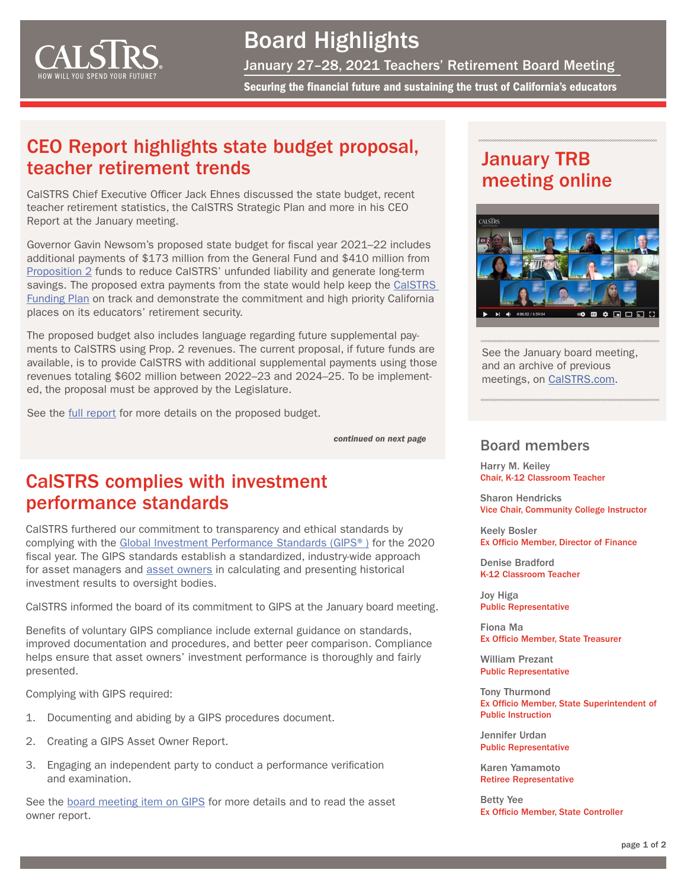<span id="page-0-0"></span>

# Board Highlights

January 27–28, 2021 Teachers' Retirement Board Meeting

Securing the financial future and sustaining the trust of California's educators

### CEO Report highlights state budget proposal, teacher retirement trends

CalSTRS Chief Executive Officer Jack Ehnes discussed the state budget, recent teacher retirement statistics, the CalSTRS Strategic Plan and more in his CEO Report at the January meeting.

Governor Gavin Newsom's proposed state budget for fiscal year 2021–22 includes additional payments of \$173 million from the General Fund and \$410 million from [Proposition 2](https://lao.ca.gov/Publications/Report/4196#:~:text=Proposition%202%20presents%20the,years%20(should%20they%20occur).) funds to reduce CalSTRS' unfunded liability and generate long-term savings. The proposed extra payments from the state would help keep the [CalSTRS](https://www.calstrs.com/plan-funding#:~:text=The%20CalSTRS%20Funding%20Plan%2C%20enacted,members%2C%20employers%20and%20the%20state.)  [Funding Plan](https://www.calstrs.com/plan-funding#:~:text=The%20CalSTRS%20Funding%20Plan%2C%20enacted,members%2C%20employers%20and%20the%20state.) on track and demonstrate the commitment and high priority California places on its educators' retirement security.

The proposed budget also includes language regarding future supplemental payments to CalSTRS using Prop. 2 revenues. The current proposal, if future funds are available, is to provide CalSTRS with additional supplemental payments using those revenues totaling \$602 million between 2022–23 and 2024–25. To be implemented, the proposal must be approved by the Legislature.

See the [full report](https://resources.calstrs.com/publicdocs/Page/CommonPage.aspx?PageName=DocumentDownload&Id=af562c68-6147-4e56-a41a-66b1a5c1c8f8) for more details on the proposed budget.

### CalSTRS complies with investment performance standards

CalSTRS furthered our commitment to transparency and ethical standards by complying with the [Global Investment Performance Standards \(GIPS®\)](https://www.gipsstandards.org/Pages/index.aspx) for the 2020 fiscal year. The GIPS standards establish a standardized, industry-wide approach for asset managers and [asset owners](https://www.gipsstandards.org/standards/2020/Pages/asset_owners.aspx) in calculating and presenting historical investment results to oversight bodies.

CalSTRS informed the board of its commitment to GIPS at the January board meeting.

Benefits of voluntary GIPS compliance include external guidance on standards, improved documentation and procedures, and better peer comparison. Compliance helps ensure that asset owners' investment performance is thoroughly and fairly presented.

Complying with GIPS required:

- 1. Documenting and abiding by a GIPS procedures document.
- 2. Creating a GIPS Asset Owner Report.
- 3. Engaging an independent party to conduct a performance verification and examination.

See the [board meeting item on GIPS](https://resources.calstrs.com/publicdocs/Page/CommonPage.aspx?PageName=DocumentDownload&Id=fc69a2df-cf79-45eb-818f-ef1784e76264) for more details and to read the asset owner report.

## January TRB meeting online



See the January board meeting, and an archive of previous meetings, on [CalSTRS.com](https://www.calstrs.com/board-meeting-video-archive).

#### Board members *[continued on next page](#page-1-0)*

Harry M. Keiley Chair, K-12 Classroom Teacher

Sharon Hendricks Vice Chair, Community College Instructor

Keely Bosler Ex Officio Member, Director of Finance

Denise Bradford K-12 Classroom Teacher

Joy Higa Public Representative

Fiona Ma Ex Officio Member, State Treasurer

William Prezant Public Representative

Tony Thurmond Ex Officio Member, State Superintendent of Public Instruction

Jennifer Urdan Public Representative

Karen Yamamoto Retiree Representative

Betty Yee Ex Officio Member, State Controller